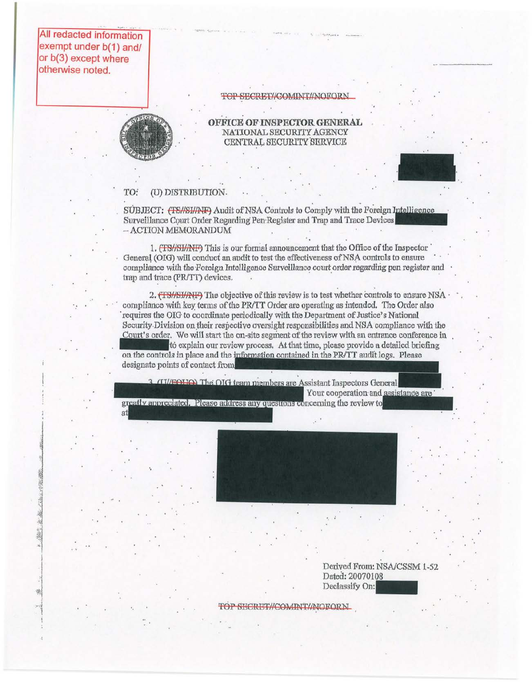All redacted information exempt under b(1) and/ or b(3) except where otherwise noted.

. .

#### TOP SECRET//COMINT//NOFORN



# OFFICE OF INSPECTOR GENERAL NATIONAL SECURITY AGENCY CENTRAL SECURITY SERVICE



### TO: (U) DISTRIBUTION.

SUBJECT: (TS//SI//NF) Audit of NSA Controls to Comply with the Foreign Intelligence Surveillance Court Order Regarding Pen-Register and Trap and Trace Devices - ACTION MEMORANDUM

1. (TS//SI//NF) This is our formal announcement that the Office of the Inspector General (OIG) will conduct an audit to test the effectiveness of NSA controls to ensure compliance with the Foreign Intelligence Surveillance court order regarding pen register and trap and trace (PR/IT) devices.

2. (TS//SI/AIF) The objective of this review is to test whether controls to ensure NSA compliance with key terms of the PR/TT Order are operating as intended. The Order also requires the OIG to coordinate periodically with the Department of Justice's National Security-Division on their respective oversight responsibilities and NSA compliance with the Court's order. We will start the on-site segment of the review with an entrance conference in<br>to explain our review process. At that time, please provide a detailed briefing requires the OIG to coordinate periodically with the Department of Justice's National<br>Security Division on their respective oversight responsibilities and NSA compliance with the<br>Court's order. We will start the on-site se on the controls in place and the information contained in the PR/TT audit logs. Please designate points of contact from

3 (11/FOUQ) The OIG team members are Assistant Inspectors General Your cooperation and assistance are

greatly appreciated. Please address any questions concerning the review to



Derived From: NSAlCSSM 1-52 Derived From: NSAVCSSM 1<br>Dated: 20070108<br>Declassify On:

..

TOP SECRET//COMINT//NOFORN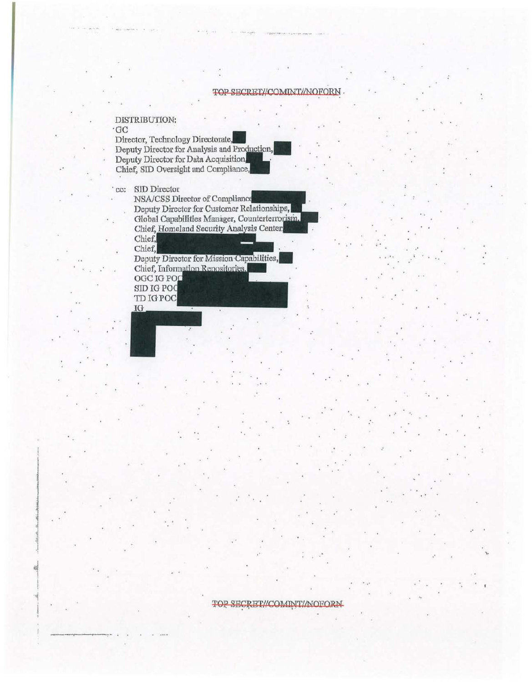#### TOP SECRET//COMINT//NOFORN

### DISTRIBUTION:

# $\cdot$ GC

Director, Technology Directorate, Deputy Director for Analysis and Production, Deputy Director for Data Acquisition. Chief, SID Oversight and Compliance,

'cc: SID Director

NSA/CSS Director of Compliance Deputy Director for Customer Relationships, Global Capabilities Manager, Counterterrorism, Chief, Homeland Security Analysis Center, Chief, Chief,

Deputy Director for Mission Capabilities, Chief, Information Repositories. OGC IG POO SID IG POO

TD IG POC IG

# TOP SECRET//COMINIT//NOFORN